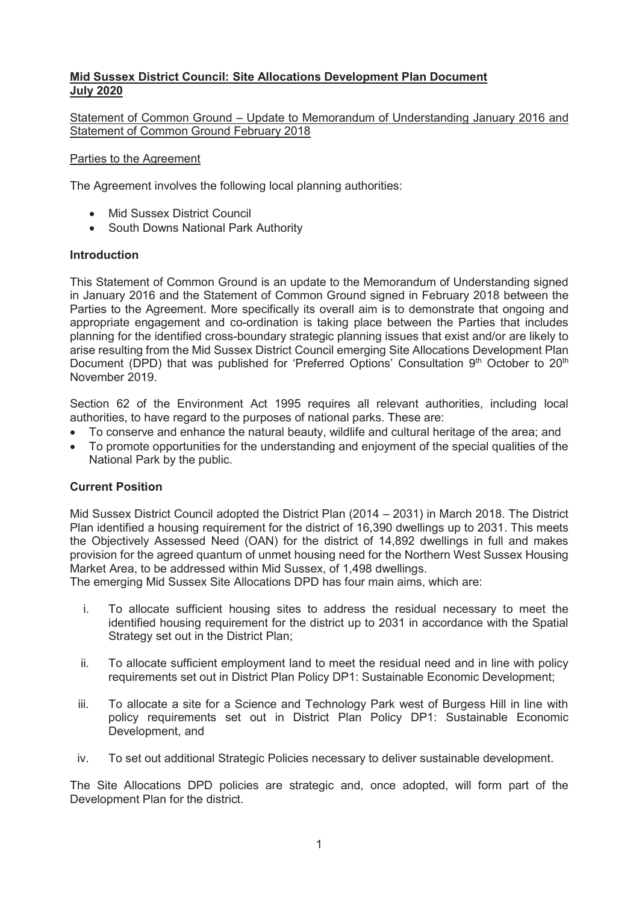## **Mid Sussex District Council: Site Allocations Development Plan Document July 2020**

#### Statement of Common Ground – Update to Memorandum of Understanding January 2016 and Statement of Common Ground February 2018

#### Parties to the Agreement

The Agreement involves the following local planning authorities:

- Mid Sussex District Council
- South Downs National Park Authority

#### **Introduction**

This Statement of Common Ground is an update to the Memorandum of Understanding signed in January 2016 and the Statement of Common Ground signed in February 2018 between the Parties to the Agreement. More specifically its overall aim is to demonstrate that ongoing and appropriate engagement and co-ordination is taking place between the Parties that includes planning for the identified cross-boundary strategic planning issues that exist and/or are likely to arise resulting from the Mid Sussex District Council emerging Site Allocations Development Plan Document (DPD) that was published for 'Preferred Options' Consultation 9<sup>th</sup> October to 20<sup>th</sup> November 2019.

Section 62 of the Environment Act 1995 requires all relevant authorities, including local authorities, to have regard to the purposes of national parks. These are:

- To conserve and enhance the natural beauty, wildlife and cultural heritage of the area; and
- To promote opportunities for the understanding and enjoyment of the special qualities of the National Park by the public.

### **Current Position**

Mid Sussex District Council adopted the District Plan (2014 – 2031) in March 2018. The District Plan identified a housing requirement for the district of 16,390 dwellings up to 2031. This meets the Objectively Assessed Need (OAN) for the district of 14,892 dwellings in full and makes provision for the agreed quantum of unmet housing need for the Northern West Sussex Housing Market Area, to be addressed within Mid Sussex, of 1,498 dwellings.

The emerging Mid Sussex Site Allocations DPD has four main aims, which are:

- i. To allocate sufficient housing sites to address the residual necessary to meet the identified housing requirement for the district up to 2031 in accordance with the Spatial Strategy set out in the District Plan;
- ii. To allocate sufficient employment land to meet the residual need and in line with policy requirements set out in District Plan Policy DP1: Sustainable Economic Development;
- iii. To allocate a site for a Science and Technology Park west of Burgess Hill in line with policy requirements set out in District Plan Policy DP1: Sustainable Economic Development, and
- iv. To set out additional Strategic Policies necessary to deliver sustainable development.

The Site Allocations DPD policies are strategic and, once adopted, will form part of the Development Plan for the district.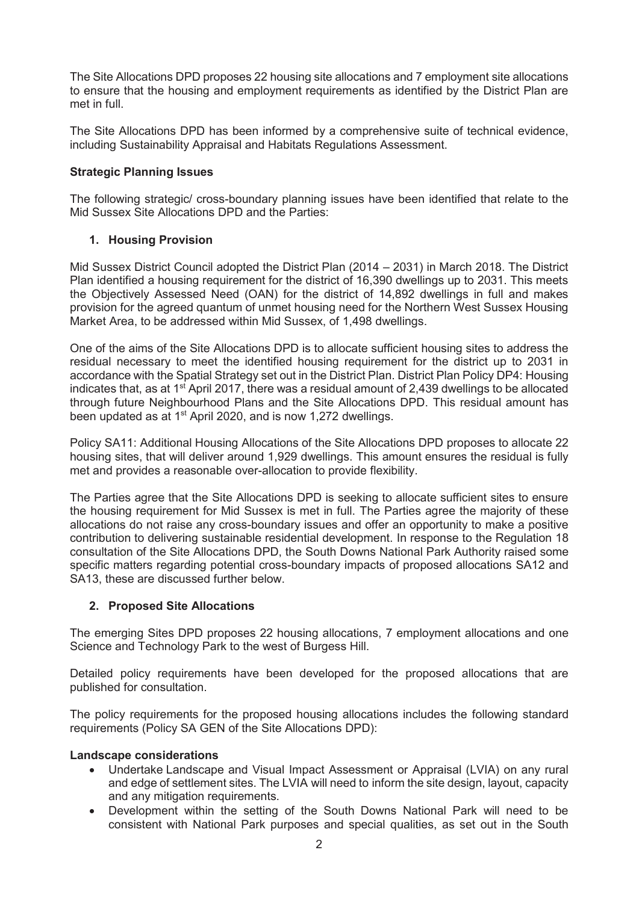The Site Allocations DPD proposes 22 housing site allocations and 7 employment site allocations to ensure that the housing and employment requirements as identified by the District Plan are met in full.

The Site Allocations DPD has been informed by a comprehensive suite of technical evidence, including Sustainability Appraisal and Habitats Regulations Assessment.

### **Strategic Planning Issues**

The following strategic/ cross-boundary planning issues have been identified that relate to the Mid Sussex Site Allocations DPD and the Parties:

## **1. Housing Provision**

Mid Sussex District Council adopted the District Plan (2014 – 2031) in March 2018. The District Plan identified a housing requirement for the district of 16,390 dwellings up to 2031. This meets the Objectively Assessed Need (OAN) for the district of 14,892 dwellings in full and makes provision for the agreed quantum of unmet housing need for the Northern West Sussex Housing Market Area, to be addressed within Mid Sussex, of 1,498 dwellings.

One of the aims of the Site Allocations DPD is to allocate sufficient housing sites to address the residual necessary to meet the identified housing requirement for the district up to 2031 in accordance with the Spatial Strategy set out in the District Plan. District Plan Policy DP4: Housing indicates that, as at 1<sup>st</sup> April 2017, there was a residual amount of 2,439 dwellings to be allocated through future Neighbourhood Plans and the Site Allocations DPD. This residual amount has been updated as at 1<sup>st</sup> April 2020, and is now 1,272 dwellings.

Policy SA11: Additional Housing Allocations of the Site Allocations DPD proposes to allocate 22 housing sites, that will deliver around 1,929 dwellings. This amount ensures the residual is fully met and provides a reasonable over-allocation to provide flexibility.

The Parties agree that the Site Allocations DPD is seeking to allocate sufficient sites to ensure the housing requirement for Mid Sussex is met in full. The Parties agree the majority of these allocations do not raise any cross-boundary issues and offer an opportunity to make a positive contribution to delivering sustainable residential development. In response to the Regulation 18 consultation of the Site Allocations DPD, the South Downs National Park Authority raised some specific matters regarding potential cross-boundary impacts of proposed allocations SA12 and SA13, these are discussed further below.

### **2. Proposed Site Allocations**

The emerging Sites DPD proposes 22 housing allocations, 7 employment allocations and one Science and Technology Park to the west of Burgess Hill.

Detailed policy requirements have been developed for the proposed allocations that are published for consultation.

The policy requirements for the proposed housing allocations includes the following standard requirements (Policy SA GEN of the Site Allocations DPD):

### **Landscape considerations**

- x Undertake Landscape and Visual Impact Assessment or Appraisal (LVIA) on any rural and edge of settlement sites. The LVIA will need to inform the site design, layout, capacity and any mitigation requirements.
- Development within the setting of the South Downs National Park will need to be consistent with National Park purposes and special qualities, as set out in the South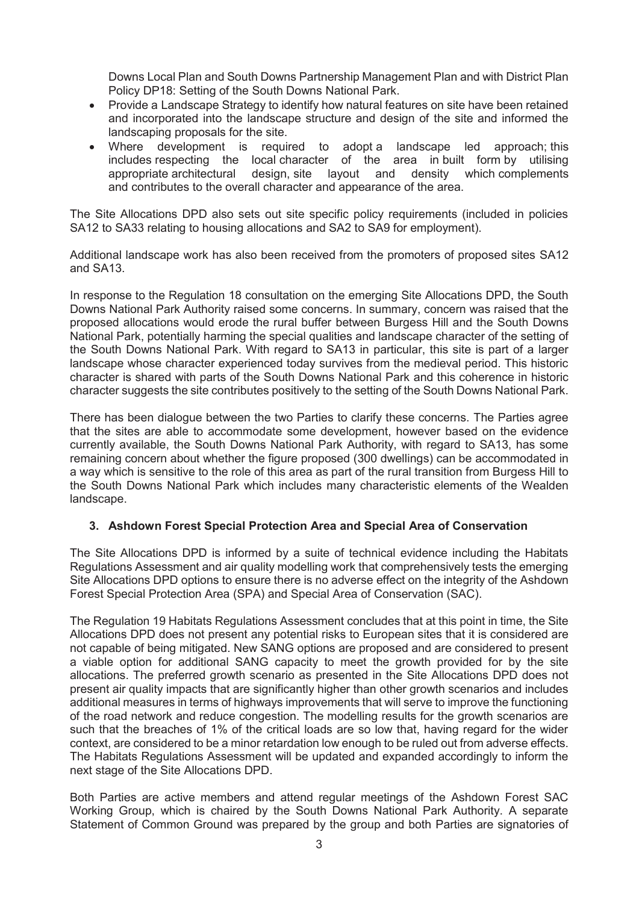Downs Local Plan and South Downs Partnership Management Plan and with District Plan Policy DP18: Setting of the South Downs National Park.

- Provide a Landscape Strategy to identify how natural features on site have been retained and incorporated into the landscape structure and design of the site and informed the landscaping proposals for the site.
- Where development is required to adopt a landscape led approach; this includes respecting the local character of the area in built form by utilising appropriate architectural design, site layout and density which complements and contributes to the overall character and appearance of the area.

The Site Allocations DPD also sets out site specific policy requirements (included in policies SA12 to SA33 relating to housing allocations and SA2 to SA9 for employment).

Additional landscape work has also been received from the promoters of proposed sites SA12 and SA13.

In response to the Regulation 18 consultation on the emerging Site Allocations DPD, the South Downs National Park Authority raised some concerns. In summary, concern was raised that the proposed allocations would erode the rural buffer between Burgess Hill and the South Downs National Park, potentially harming the special qualities and landscape character of the setting of the South Downs National Park. With regard to SA13 in particular, this site is part of a larger landscape whose character experienced today survives from the medieval period. This historic character is shared with parts of the South Downs National Park and this coherence in historic character suggests the site contributes positively to the setting of the South Downs National Park.

There has been dialogue between the two Parties to clarify these concerns. The Parties agree that the sites are able to accommodate some development, however based on the evidence currently available, the South Downs National Park Authority, with regard to SA13, has some remaining concern about whether the figure proposed (300 dwellings) can be accommodated in a way which is sensitive to the role of this area as part of the rural transition from Burgess Hill to the South Downs National Park which includes many characteristic elements of the Wealden landscape.

### **3. Ashdown Forest Special Protection Area and Special Area of Conservation**

The Site Allocations DPD is informed by a suite of technical evidence including the Habitats Regulations Assessment and air quality modelling work that comprehensively tests the emerging Site Allocations DPD options to ensure there is no adverse effect on the integrity of the Ashdown Forest Special Protection Area (SPA) and Special Area of Conservation (SAC).

The Regulation 19 Habitats Regulations Assessment concludes that at this point in time, the Site Allocations DPD does not present any potential risks to European sites that it is considered are not capable of being mitigated. New SANG options are proposed and are considered to present a viable option for additional SANG capacity to meet the growth provided for by the site allocations. The preferred growth scenario as presented in the Site Allocations DPD does not present air quality impacts that are significantly higher than other growth scenarios and includes additional measures in terms of highways improvements that will serve to improve the functioning of the road network and reduce congestion. The modelling results for the growth scenarios are such that the breaches of 1% of the critical loads are so low that, having regard for the wider context, are considered to be a minor retardation low enough to be ruled out from adverse effects. The Habitats Regulations Assessment will be updated and expanded accordingly to inform the next stage of the Site Allocations DPD.

Both Parties are active members and attend regular meetings of the Ashdown Forest SAC Working Group, which is chaired by the South Downs National Park Authority. A separate Statement of Common Ground was prepared by the group and both Parties are signatories of